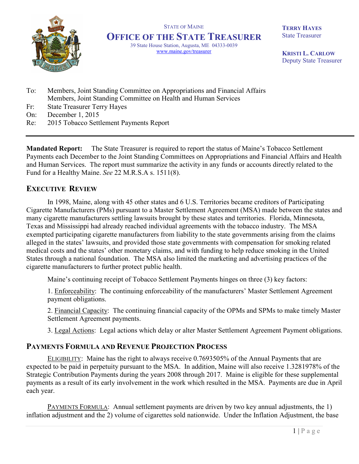

STATE OF MAINE **OFFICE OF THE STATE TREASURER** 39 State House Station, Augusta, ME 04333-0039 www.maine.gov/treasurer

**TERRY HAYES** State Treasurer

**KRISTI L. CARLOW** Deputy State Treasurer

- To: Members, Joint Standing Committee on Appropriations and Financial Affairs Members, Joint Standing Committee on Health and Human Services
- Fr: State Treasurer Terry Hayes
- On: December 1, 2015
- Re: 2015 Tobacco Settlement Payments Report

**Mandated Report:** The State Treasurer is required to report the status of Maine's Tobacco Settlement Payments each December to the Joint Standing Committees on Appropriations and Financial Affairs and Health and Human Services. The report must summarize the activity in any funds or accounts directly related to the Fund for a Healthy Maine. *See* 22 M.R.S.A s. 1511(8).

## **EXECUTIVE REVIEW**

In 1998, Maine, along with 45 other states and 6 U.S. Territories became creditors of Participating Cigarette Manufacturers (PMs) pursuant to a Master Settlement Agreement (MSA) made between the states and many cigarette manufacturers settling lawsuits brought by these states and territories. Florida, Minnesota, Texas and Mississippi had already reached individual agreements with the tobacco industry. The MSA exempted participating cigarette manufacturers from liability to the state governments arising from the claims alleged in the states' lawsuits, and provided those state governments with compensation for smoking related medical costs and the states' other monetary claims, and with funding to help reduce smoking in the United States through a national foundation. The MSA also limited the marketing and advertising practices of the cigarette manufacturers to further protect public health.

Maine's continuing receipt of Tobacco Settlement Payments hinges on three (3) key factors:

1. Enforceability: The continuing enforceability of the manufacturers' Master Settlement Agreement payment obligations.

2. Financial Capacity: The continuing financial capacity of the OPMs and SPMs to make timely Master Settlement Agreement payments.

3. Legal Actions: Legal actions which delay or alter Master Settlement Agreement Payment obligations.

## **PAYMENTS FORMULA AND REVENUE PROJECTION PROCESS**

ELIGIBILITY: Maine has the right to always receive 0.7693505% of the Annual Payments that are expected to be paid in perpetuity pursuant to the MSA. In addition, Maine will also receive 1.3281978% of the Strategic Contribution Payments during the years 2008 through 2017. Maine is eligible for these supplemental payments as a result of its early involvement in the work which resulted in the MSA. Payments are due in April each year.

PAYMENTS FORMULA: Annual settlement payments are driven by two key annual adjustments, the 1) inflation adjustment and the 2) volume of cigarettes sold nationwide. Under the Inflation Adjustment, the base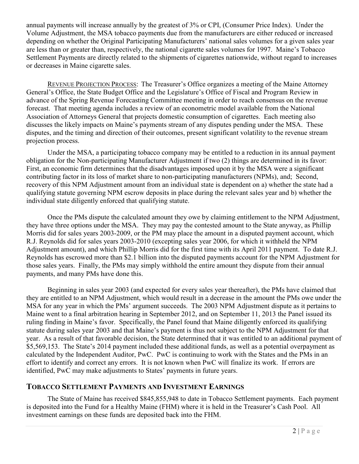annual payments will increase annually by the greatest of 3% or CPI, (Consumer Price Index). Under the Volume Adjustment, the MSA tobacco payments due from the manufacturers are either reduced or increased depending on whether the Original Participating Manufacturers' national sales volumes for a given sales year are less than or greater than, respectively, the national cigarette sales volumes for 1997. Maine's Tobacco Settlement Payments are directly related to the shipments of cigarettes nationwide, without regard to increases or decreases in Maine cigarette sales.

REVENUE PROJECTION PROCESS: The Treasurer's Office organizes a meeting of the Maine Attorney General's Office, the State Budget Office and the Legislature's Office of Fiscal and Program Review in advance of the Spring Revenue Forecasting Committee meeting in order to reach consensus on the revenue forecast. That meeting agenda includes a review of an econometric model available from the National Association of Attorneys General that projects domestic consumption of cigarettes. Each meeting also discusses the likely impacts on Maine's payments stream of any disputes pending under the MSA. These disputes, and the timing and direction of their outcomes, present significant volatility to the revenue stream projection process.

Under the MSA, a participating tobacco company may be entitled to a reduction in its annual payment obligation for the Non-participating Manufacturer Adjustment if two (2) things are determined in its favor: First, an economic firm determines that the disadvantages imposed upon it by the MSA were a significant contributing factor in its loss of market share to non-participating manufacturers (NPMs), and; Second, recovery of this NPM Adjustment amount from an individual state is dependent on a) whether the state had a qualifying statute governing NPM escrow deposits in place during the relevant sales year and b) whether the individual state diligently enforced that qualifying statute.

Once the PMs dispute the calculated amount they owe by claiming entitlement to the NPM Adjustment, they have three options under the MSA. They may pay the contested amount to the State anyway, as Phillip Morris did for sales years 2003-2009, or the PM may place the amount in a disputed payment account, which R.J. Reynolds did for sales years 2003-2010 (excepting sales year 2006, for which it withheld the NPM Adjustment amount), and which Phillip Morris did for the first time with its April 2011 payment. To date R.J. Reynolds has escrowed more than \$2.1 billion into the disputed payments account for the NPM Adjustment for those sales years. Finally, the PMs may simply withhold the entire amount they dispute from their annual payments, and many PMs have done this.

Beginning in sales year 2003 (and expected for every sales year thereafter), the PMs have claimed that they are entitled to an NPM Adjustment, which would result in a decrease in the amount the PMs owe under the MSA for any year in which the PMs' argument succeeds. The 2003 NPM Adjustment dispute as it pertains to Maine went to a final arbitration hearing in September 2012, and on September 11, 2013 the Panel issued its ruling finding in Maine's favor. Specifically, the Panel found that Maine diligently enforced its qualifying statute during sales year 2003 and that Maine's payment is thus not subject to the NPM Adjustment for that year. As a result of that favorable decision, the State determined that it was entitled to an additional payment of \$5,569,153. The State's 2014 payment included these additional funds, as well as a potential overpayment as calculated by the Independent Auditor, PwC. PwC is continuing to work with the States and the PMs in an effort to identify and correct any errors. It is not known when PwC will finalize its work. If errors are identified, PwC may make adjustments to States' payments in future years.

## **TOBACCO SETTLEMENT PAYMENTS AND INVESTMENT EARNINGS**

The State of Maine has received \$845,855,948 to date in Tobacco Settlement payments. Each payment is deposited into the Fund for a Healthy Maine (FHM) where it is held in the Treasurer's Cash Pool. All investment earnings on these funds are deposited back into the FHM.